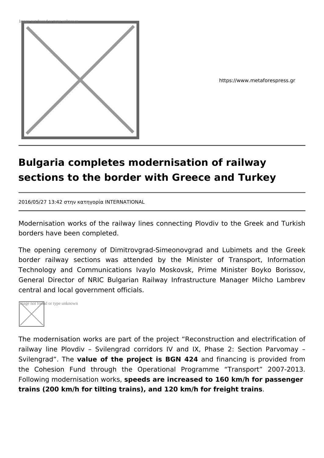

https://www.metaforespress.gr

## **Bulgaria completes modernisation of railway sections to the border with Greece and Turkey**

2016/05/27 13:42 στην κατηγορία INTERNATIONAL

Modernisation works of the railway lines connecting Plovdiv to the Greek and Turkish borders have been completed.

The opening ceremony of Dimitrovgrad-Simeonovgrad and Lubimets and the Greek border railway sections was attended by the Minister of Transport, Information Technology and Communications Ivaylo Moskovsk, Prime Minister Boyko Borissov, General Director of NRIC Bulgarian Railway Infrastructure Manager Milcho Lambrev central and local government officials.



The modernisation works are part of the project "Reconstruction and electrification of railway line Plovdiv – Svilengrad corridors IV and IX, Phase 2: Section Parvomay – Svilengrad". The **value of the project is BGN 424** and financing is provided from the Cohesion Fund through the Operational Programme "Transport" 2007-2013. Following modernisation works, **speeds are increased to 160 km/h for passenger trains (200 km/h for tilting trains), and 120 km/h for freight trains**.